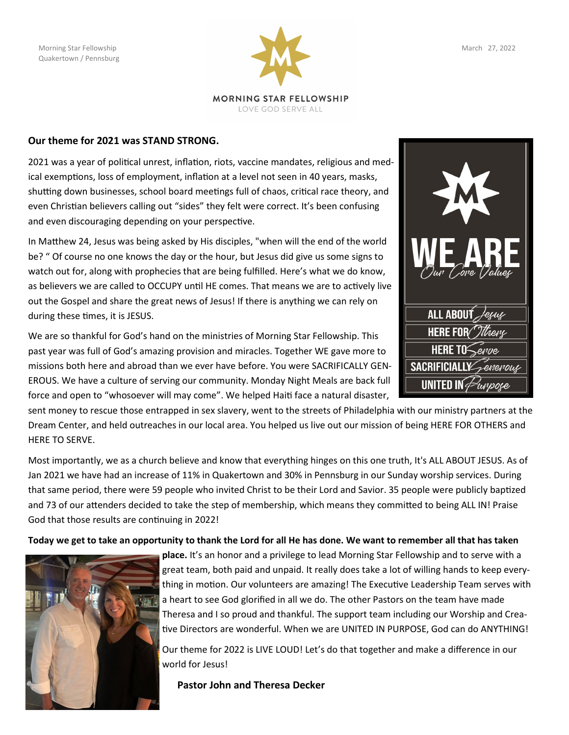

LOVE GOD SERVE ALL

## **Our theme for 2021 was STAND STRONG.**

2021 was a year of political unrest, inflation, riots, vaccine mandates, religious and medical exemptions, loss of employment, inflation at a level not seen in 40 years, masks, shutting down businesses, school board meetings full of chaos, critical race theory, and even Christian believers calling out "sides" they felt were correct. It's been confusing and even discouraging depending on your perspective.

In Matthew 24, Jesus was being asked by His disciples, "when will the end of the world be? " Of course no one knows the day or the hour, but Jesus did give us some signs to watch out for, along with prophecies that are being fulfilled. Here's what we do know, as believers we are called to OCCUPY until HE comes. That means we are to actively live out the Gospel and share the great news of Jesus! If there is anything we can rely on during these times, it is JESUS.

We are so thankful for God's hand on the ministries of Morning Star Fellowship. This past year was full of God's amazing provision and miracles. Together WE gave more to missions both here and abroad than we ever have before. You were SACRIFICALLY GEN-EROUS. We have a culture of serving our community. Monday Night Meals are back full force and open to "whosoever will may come". We helped Haiti face a natural disaster,

sent money to rescue those entrapped in sex slavery, went to the streets of Philadelphia with our ministry partners at the Dream Center, and held outreaches in our local area. You helped us live out our mission of being HERE FOR OTHERS and HERE TO SERVE.

Most importantly, we as a church believe and know that everything hinges on this one truth, It's ALL ABOUT JESUS. As of Jan 2021 we have had an increase of 11% in Quakertown and 30% in Pennsburg in our Sunday worship services. During that same period, there were 59 people who invited Christ to be their Lord and Savior. 35 people were publicly baptized and 73 of our attenders decided to take the step of membership, which means they committed to being ALL IN! Praise God that those results are continuing in 2022!

**Today we get to take an opportunity to thank the Lord for all He has done. We want to remember all that has taken** 



**place.** It's an honor and a privilege to lead Morning Star Fellowship and to serve with a great team, both paid and unpaid. It really does take a lot of willing hands to keep everything in motion. Our volunteers are amazing! The Executive Leadership Team serves with a heart to see God glorified in all we do. The other Pastors on the team have made Theresa and I so proud and thankful. The support team including our Worship and Creative Directors are wonderful. When we are UNITED IN PURPOSE, God can do ANYTHING!

Our theme for 2022 is LIVE LOUD! Let's do that together and make a difference in our world for Jesus!

 **Pastor John and Theresa Decker**